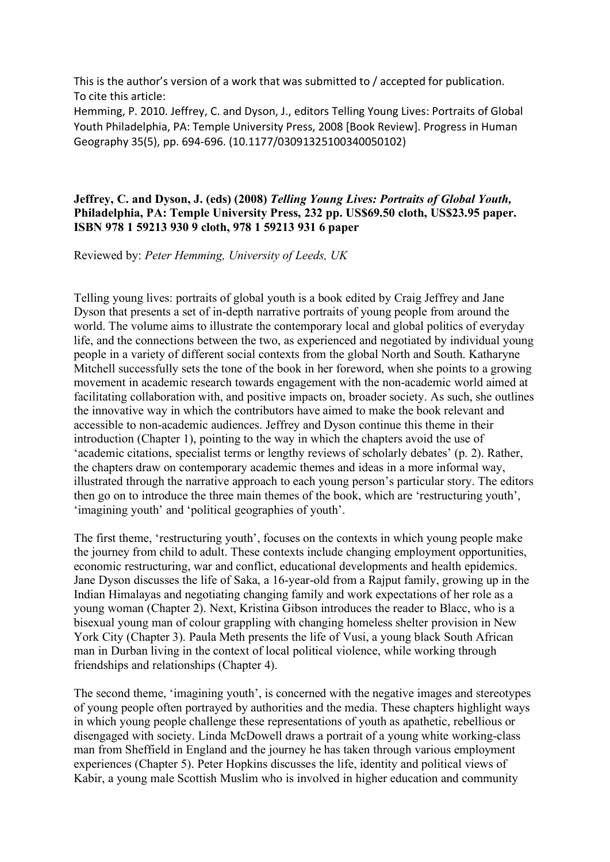This is the author's version of a work that was submitted to / accepted for publication. To cite this article:

Hemming, P. 2010. Jeffrey, C. and Dyson, J., editors Telling Young Lives: Portraits of Global Youth Philadelphia, PA: Temple University Press, 2008 [Book Review]. Progress in Human Geography 35(5), pp. 694-696. (10.1177/03091325100340050102)

## **Jeffrey, C. and Dyson, J. (eds) (2008)** *Telling Young Lives: Portraits of Global Youth,* **Philadelphia, PA: Temple University Press, 232 pp. US\$69.50 cloth, US\$23.95 paper. ISBN 978 1 59213 930 9 cloth, 978 1 59213 931 6 paper**

Reviewed by: *Peter Hemming, University of Leeds, UK*

Telling young lives: portraits of global youth is a book edited by Craig Jeffrey and Jane Dyson that presents a set of in-depth narrative portraits of young people from around the world. The volume aims to illustrate the contemporary local and global politics of everyday life, and the connections between the two, as experienced and negotiated by individual young people in a variety of different social contexts from the global North and South. Katharyne Mitchell successfully sets the tone of the book in her foreword, when she points to a growing movement in academic research towards engagement with the non-academic world aimed at facilitating collaboration with, and positive impacts on, broader society. As such, she outlines the innovative way in which the contributors have aimed to make the book relevant and accessible to non-academic audiences. Jeffrey and Dyson continue this theme in their introduction (Chapter 1), pointing to the way in which the chapters avoid the use of 'academic citations, specialist terms or lengthy reviews of scholarly debates' (p. 2). Rather, the chapters draw on contemporary academic themes and ideas in a more informal way, illustrated through the narrative approach to each young person's particular story. The editors then go on to introduce the three main themes of the book, which are 'restructuring youth', 'imagining youth' and 'political geographies of youth'.

The first theme, 'restructuring youth', focuses on the contexts in which young people make the journey from child to adult. These contexts include changing employment opportunities, economic restructuring, war and conflict, educational developments and health epidemics. Jane Dyson discusses the life of Saka, a 16-year-old from a Rajput family, growing up in the Indian Himalayas and negotiating changing family and work expectations of her role as a young woman (Chapter 2). Next, Kristina Gibson introduces the reader to Blacc, who is a bisexual young man of colour grappling with changing homeless shelter provision in New York City (Chapter 3). Paula Meth presents the life of Vusi, a young black South African man in Durban living in the context of local political violence, while working through friendships and relationships (Chapter 4).

The second theme, 'imagining youth', is concerned with the negative images and stereotypes of young people often portrayed by authorities and the media. These chapters highlight ways in which young people challenge these representations of youth as apathetic, rebellious or disengaged with society. Linda McDowell draws a portrait of a young white working-class man from Sheffield in England and the journey he has taken through various employment experiences (Chapter 5). Peter Hopkins discusses the life, identity and political views of Kabir, a young male Scottish Muslim who is involved in higher education and community